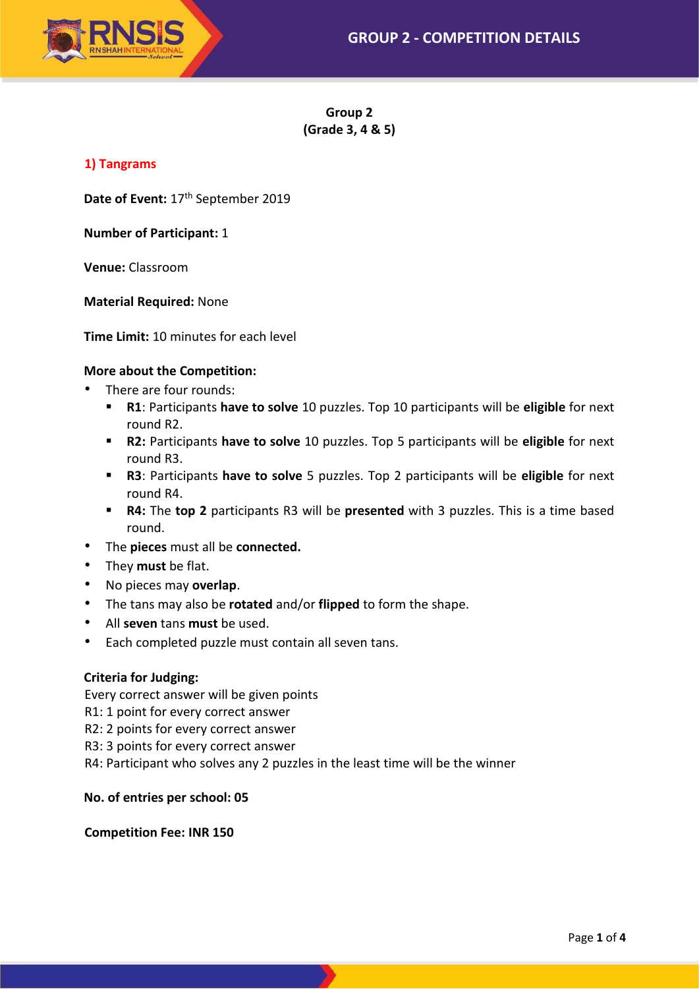

**Group 2 (Grade 3, 4 & 5)**

# **1) Tangrams**

Date of Event: 17<sup>th</sup> September 2019

**Number of Participant:** 1

**Venue:** Classroom

**Material Required:** None

**Time Limit:** 10 minutes for each level

## **More about the Competition:**

- There are four rounds:
	- **R1**: Participants **have to solve** 10 puzzles. Top 10 participants will be **eligible** for next round R2.
	- **R2:** Participants **have to solve** 10 puzzles. Top 5 participants will be **eligible** for next round R3.
	- **R3**: Participants **have to solve** 5 puzzles. Top 2 participants will be **eligible** for next round R4.
	- **R4:** The **top 2** participants R3 will be **presented** with 3 puzzles. This is a time based round.
- The **pieces** must all be **connected.**
- They **must** be flat.
- No pieces may **overlap**.
- The tans may also be **rotated** and/or **flipped** to form the shape.
- All **seven** tans **must** be used.
- Each completed puzzle must contain all seven tans.

## **Criteria for Judging:**

Every correct answer will be given points

- R1: 1 point for every correct answer
- R2: 2 points for every correct answer
- R3: 3 points for every correct answer
- R4: Participant who solves any 2 puzzles in the least time will be the winner

**No. of entries per school: 05**

### **Competition Fee: INR 150**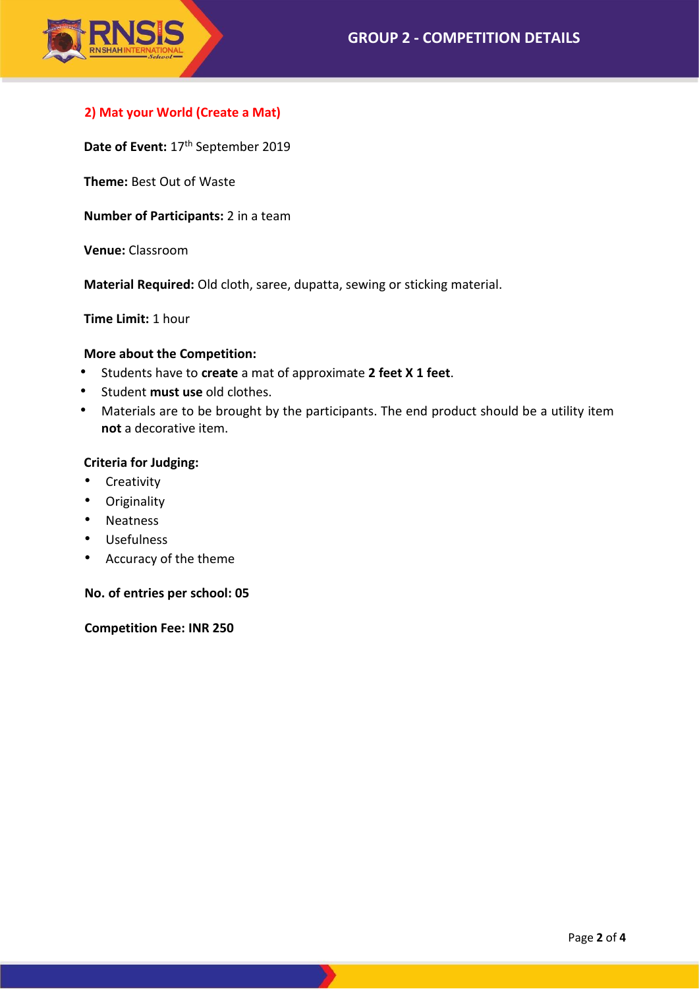

# **2) Mat your World (Create a Mat)**

Date of Event: 17<sup>th</sup> September 2019

**Theme:** Best Out of Waste

**Number of Participants:** 2 in a team

**Venue:** Classroom

**Material Required:** Old cloth, saree, dupatta, sewing or sticking material.

**Time Limit:** 1 hour

### **More about the Competition:**

- Students have to **create** a mat of approximate **2 feet X 1 feet**.
- Student **must use** old clothes.
- Materials are to be brought by the participants. The end product should be a utility item **not** a decorative item.

### **Criteria for Judging:**

- Creativity
- Originality
- Neatness
- Usefulness
- Accuracy of the theme

### **No. of entries per school: 05**

**Competition Fee: INR 250**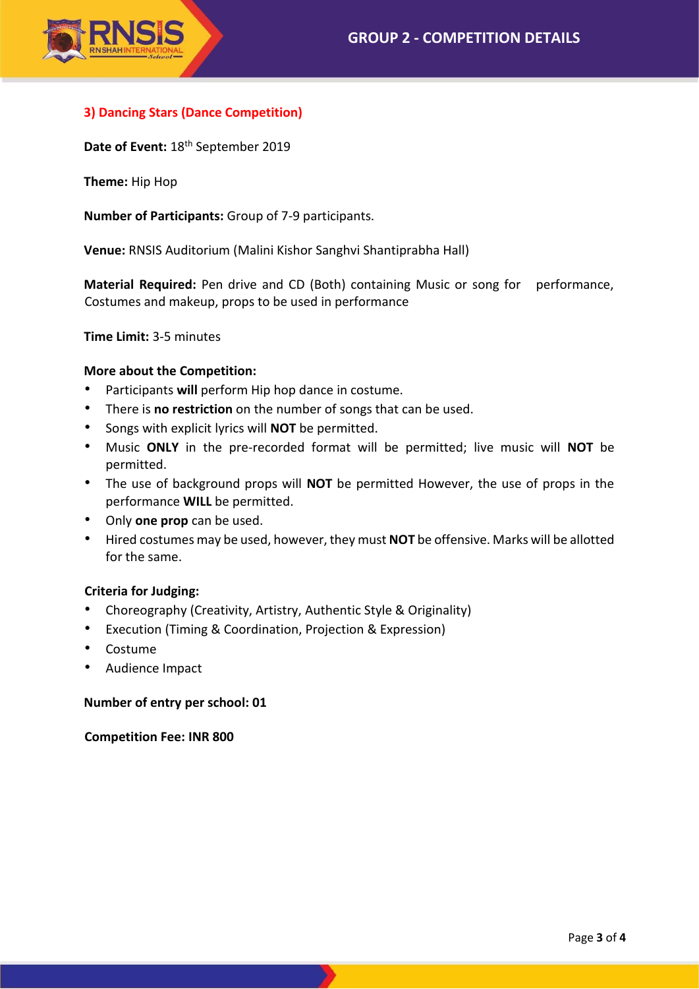

# **3) Dancing Stars (Dance Competition)**

Date of Event: 18<sup>th</sup> September 2019

**Theme:** Hip Hop

**Number of Participants:** Group of 7-9 participants.

**Venue:** RNSIS Auditorium (Malini Kishor Sanghvi Shantiprabha Hall)

**Material Required:** Pen drive and CD (Both) containing Music or song for performance, Costumes and makeup, props to be used in performance

**Time Limit:** 3-5 minutes

## **More about the Competition:**

- Participants **will** perform Hip hop dance in costume.
- There is **no restriction** on the number of songs that can be used.
- Songs with explicit lyrics will **NOT** be permitted.
- Music **ONLY** in the pre-recorded format will be permitted; live music will **NOT** be permitted.
- The use of background props will **NOT** be permitted However, the use of props in the performance **WILL** be permitted.
- Only **one prop** can be used.
- Hired costumes may be used, however, they must **NOT** be offensive. Marks will be allotted for the same.

## **Criteria for Judging:**

- Choreography (Creativity, Artistry, Authentic Style & Originality)
- Execution (Timing & Coordination, Projection & Expression)
- Costume
- Audience Impact

### **Number of entry per school: 01**

**Competition Fee: INR 800**